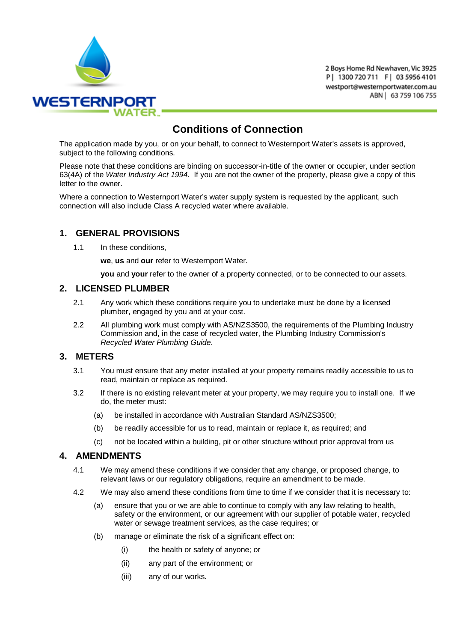

2 Boys Home Rd Newhaven, Vic 3925 P | 1300 720 711 F | 03 5956 4101 westport@westernportwater.com.au ABN | 63 759 106 755

# **Conditions of Connection**

The application made by you, or on your behalf, to connect to Westernport Water's assets is approved, subject to the following conditions.

Please note that these conditions are binding on successor-in-title of the owner or occupier, under section 63(4A) of the *Water Industry Act 1994*. If you are not the owner of the property, please give a copy of this letter to the owner.

Where a connection to Westernport Water's water supply system is requested by the applicant, such connection will also include Class A recycled water where available.

# **1. GENERAL PROVISIONS**

1.1 In these conditions.

**we**, **us** and **our** refer to Westernport Water.

**you** and **your** refer to the owner of a property connected, or to be connected to our assets.

#### **2. LICENSED PLUMBER**

- 2.1 Any work which these conditions require you to undertake must be done by a licensed plumber, engaged by you and at your cost.
- 2.2 All plumbing work must comply with AS/NZS3500, the requirements of the Plumbing Industry Commission and, in the case of recycled water, the Plumbing Industry Commission's *Recycled Water Plumbing Guide*.

### **3. METERS**

- 3.1 You must ensure that any meter installed at your property remains readily accessible to us to read, maintain or replace as required.
- 3.2 If there is no existing relevant meter at your property, we may require you to install one. If we do, the meter must:
	- (a) be installed in accordance with Australian Standard AS/NZS3500;
	- (b) be readily accessible for us to read, maintain or replace it, as required; and
	- (c) not be located within a building, pit or other structure without prior approval from us

#### **4. AMENDMENTS**

- 4.1 We may amend these conditions if we consider that any change, or proposed change, to relevant laws or our regulatory obligations, require an amendment to be made.
- 4.2 We may also amend these conditions from time to time if we consider that it is necessary to:
	- (a) ensure that you or we are able to continue to comply with any law relating to health, safety or the environment, or our agreement with our supplier of potable water, recycled water or sewage treatment services, as the case requires; or
	- (b) manage or eliminate the risk of a significant effect on:
		- (i) the health or safety of anyone; or
		- (ii) any part of the environment; or
		- (iii) any of our works.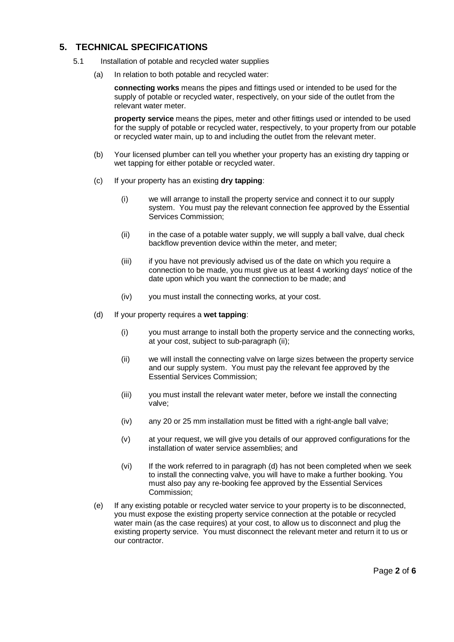# **5. TECHNICAL SPECIFICATIONS**

- 5.1 Installation of potable and recycled water supplies
	- (a) In relation to both potable and recycled water:

**connecting works** means the pipes and fittings used or intended to be used for the supply of potable or recycled water, respectively, on your side of the outlet from the relevant water meter.

**property service** means the pipes, meter and other fittings used or intended to be used for the supply of potable or recycled water, respectively, to your property from our potable or recycled water main, up to and including the outlet from the relevant meter.

- (b) Your licensed plumber can tell you whether your property has an existing dry tapping or wet tapping for either potable or recycled water.
- (c) If your property has an existing **dry tapping**:
	- (i) we will arrange to install the property service and connect it to our supply system. You must pay the relevant connection fee approved by the Essential Services Commission;
	- (ii) in the case of a potable water supply, we will supply a ball valve, dual check backflow prevention device within the meter, and meter;
	- (iii) if you have not previously advised us of the date on which you require a connection to be made, you must give us at least 4 working days' notice of the date upon which you want the connection to be made; and
	- (iv) you must install the connecting works, at your cost.
- (d) If your property requires a **wet tapping**:
	- (i) you must arrange to install both the property service and the connecting works, at your cost, subject to sub-paragraph (ii);
	- (ii) we will install the connecting valve on large sizes between the property service and our supply system. You must pay the relevant fee approved by the Essential Services Commission;
	- (iii) you must install the relevant water meter, before we install the connecting valve;
	- (iv) any 20 or 25 mm installation must be fitted with a right-angle ball valve;
	- (v) at your request, we will give you details of our approved configurations for the installation of water service assemblies; and
	- (vi) If the work referred to in paragraph (d) has not been completed when we seek to install the connecting valve, you will have to make a further booking. You must also pay any re-booking fee approved by the Essential Services Commission;
- (e) If any existing potable or recycled water service to your property is to be disconnected, you must expose the existing property service connection at the potable or recycled water main (as the case requires) at your cost, to allow us to disconnect and plug the existing property service. You must disconnect the relevant meter and return it to us or our contractor.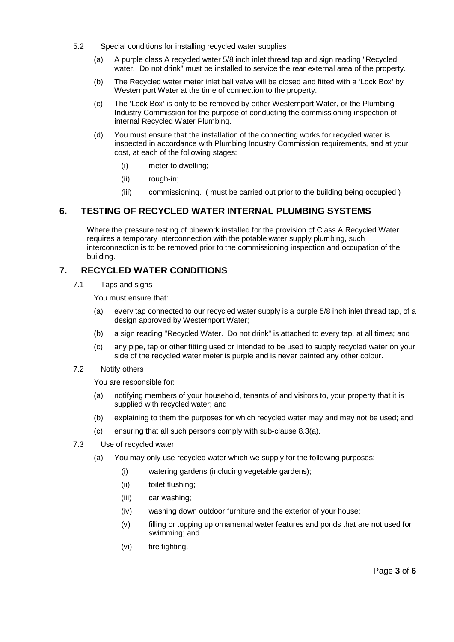- 5.2 Special conditions for installing recycled water supplies
	- (a) A purple class A recycled water 5/8 inch inlet thread tap and sign reading "Recycled water. Do not drink" must be installed to service the rear external area of the property.
	- (b) The Recycled water meter inlet ball valve will be closed and fitted with a 'Lock Box' by Westernport Water at the time of connection to the property.
	- (c) The 'Lock Box' is only to be removed by either Westernport Water, or the Plumbing Industry Commission for the purpose of conducting the commissioning inspection of internal Recycled Water Plumbing.
	- (d) You must ensure that the installation of the connecting works for recycled water is inspected in accordance with Plumbing Industry Commission requirements, and at your cost, at each of the following stages:
		- (i) meter to dwelling;
		- (ii) rough-in;
		- (iii) commissioning. ( must be carried out prior to the building being occupied )

# **6. TESTING OF RECYCLED WATER INTERNAL PLUMBING SYSTEMS**

Where the pressure testing of pipework installed for the provision of Class A Recycled Water requires a temporary interconnection with the potable water supply plumbing, such interconnection is to be removed prior to the commissioning inspection and occupation of the building.

# **7. RECYCLED WATER CONDITIONS**

7.1 Taps and signs

You must ensure that:

- (a) every tap connected to our recycled water supply is a purple 5/8 inch inlet thread tap, of a design approved by Westernport Water;
- (b) a sign reading "Recycled Water. Do not drink" is attached to every tap, at all times; and
- (c) any pipe, tap or other fitting used or intended to be used to supply recycled water on your side of the recycled water meter is purple and is never painted any other colour.
- 7.2 Notify others

You are responsible for:

- (a) notifying members of your household, tenants of and visitors to, your property that it is supplied with recycled water; and
- (b) explaining to them the purposes for which recycled water may and may not be used; and
- (c) ensuring that all such persons comply with sub-clause [8.3\(a\).](#page-2-0)
- <span id="page-2-1"></span><span id="page-2-0"></span>7.3 Use of recycled water
	- (a) You may only use recycled water which we supply for the following purposes:
		- (i) watering gardens (including vegetable gardens);
		- (ii) toilet flushing;
		- (iii) car washing;
		- (iv) washing down outdoor furniture and the exterior of your house;
		- (v) filling or topping up ornamental water features and ponds that are not used for swimming; and
		- (vi) fire fighting.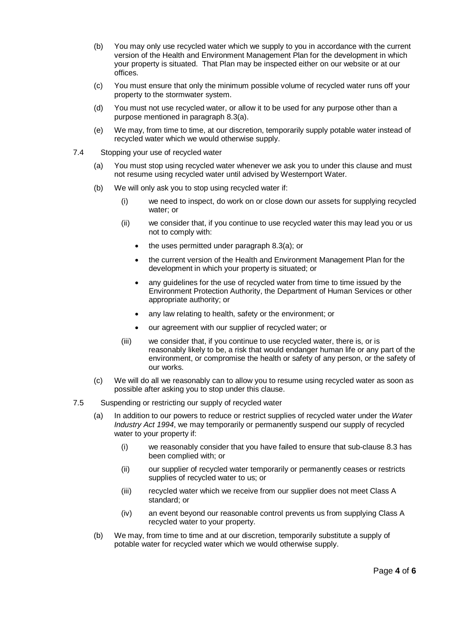- (b) You may only use recycled water which we supply to you in accordance with the current version of the Health and Environment Management Plan for the development in which your property is situated. That Plan may be inspected either on our website or at our offices.
- (c) You must ensure that only the minimum possible volume of recycled water runs off your property to the stormwater system.
- (d) You must not use recycled water, or allow it to be used for any purpose other than a purpose mentioned in paragraph [8.3\(a\).](#page-2-0)
- (e) We may, from time to time, at our discretion, temporarily supply potable water instead of recycled water which we would otherwise supply.
- 7.4 Stopping your use of recycled water
	- (a) You must stop using recycled water whenever we ask you to under this clause and must not resume using recycled water until advised by Westernport Water.
	- (b) We will only ask you to stop using recycled water if:
		- (i) we need to inspect, do work on or close down our assets for supplying recycled water; or
		- (ii) we consider that, if you continue to use recycled water this may lead you or us not to comply with:
			- the uses permitted under paragrap[h 8.3\(a\);](#page-2-0) or
			- the current version of the Health and Environment Management Plan for the development in which your property is situated; or
			- any guidelines for the use of recycled water from time to time issued by the Environment Protection Authority, the Department of Human Services or other appropriate authority; or
			- any law relating to health, safety or the environment; or
			- our agreement with our supplier of recycled water; or
		- (iii) we consider that, if you continue to use recycled water, there is, or is reasonably likely to be, a risk that would endanger human life or any part of the environment, or compromise the health or safety of any person, or the safety of our works.
	- (c) We will do all we reasonably can to allow you to resume using recycled water as soon as possible after asking you to stop under this clause.
- 7.5 Suspending or restricting our supply of recycled water
	- (a) In addition to our powers to reduce or restrict supplies of recycled water under the *Water Industry Act 1994*, we may temporarily or permanently suspend our supply of recycled water to your property if:
		- (i) we reasonably consider that you have failed to ensure that sub-clause [8.3](#page-2-1) has been complied with; or
		- (ii) our supplier of recycled water temporarily or permanently ceases or restricts supplies of recycled water to us; or
		- (iii) recycled water which we receive from our supplier does not meet Class A standard; or
		- (iv) an event beyond our reasonable control prevents us from supplying Class A recycled water to your property.
	- (b) We may, from time to time and at our discretion, temporarily substitute a supply of potable water for recycled water which we would otherwise supply.